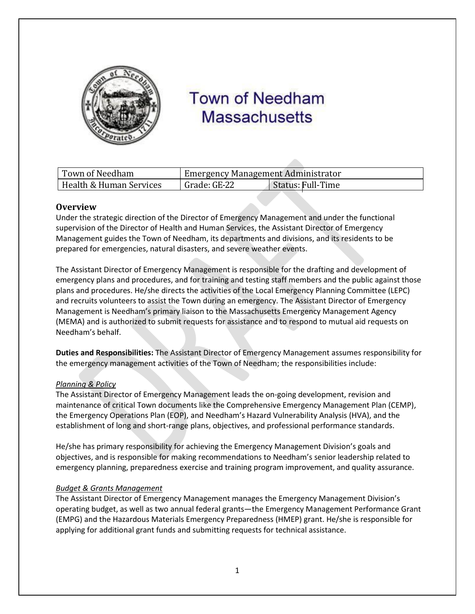

# **Town of Needham Massachusetts**

| Town of Needham         | Emergency Management Administrator |                   |
|-------------------------|------------------------------------|-------------------|
| Health & Human Services | Grade: GE-22                       | Status: Full-Time |

# **Overview**

Under the strategic direction of the Director of Emergency Management and under the functional supervision of the Director of Health and Human Services, the Assistant Director of Emergency Management guides the Town of Needham, its departments and divisions, and its residents to be prepared for emergencies, natural disasters, and severe weather events.

The Assistant Director of Emergency Management is responsible for the drafting and development of emergency plans and procedures, and for training and testing staff members and the public against those plans and procedures. He/she directs the activities of the Local Emergency Planning Committee (LEPC) and recruits volunteers to assist the Town during an emergency. The Assistant Director of Emergency Management is Needham's primary liaison to the Massachusetts Emergency Management Agency (MEMA) and is authorized to submit requests for assistance and to respond to mutual aid requests on Needham's behalf.

**Duties and Responsibilities:** The Assistant Director of Emergency Management assumes responsibility for the emergency management activities of the Town of Needham; the responsibilities include:

## *Planning & Policy*

The Assistant Director of Emergency Management leads the on-going development, revision and maintenance of critical Town documents like the Comprehensive Emergency Management Plan (CEMP), the Emergency Operations Plan (EOP), and Needham's Hazard Vulnerability Analysis (HVA), and the establishment of long and short-range plans, objectives, and professional performance standards.

He/she has primary responsibility for achieving the Emergency Management Division's goals and objectives, and is responsible for making recommendations to Needham's senior leadership related to emergency planning, preparedness exercise and training program improvement, and quality assurance.

## *Budget & Grants Management*

The Assistant Director of Emergency Management manages the Emergency Management Division's operating budget, as well as two annual federal grants—the Emergency Management Performance Grant (EMPG) and the Hazardous Materials Emergency Preparedness (HMEP) grant. He/she is responsible for applying for additional grant funds and submitting requests for technical assistance.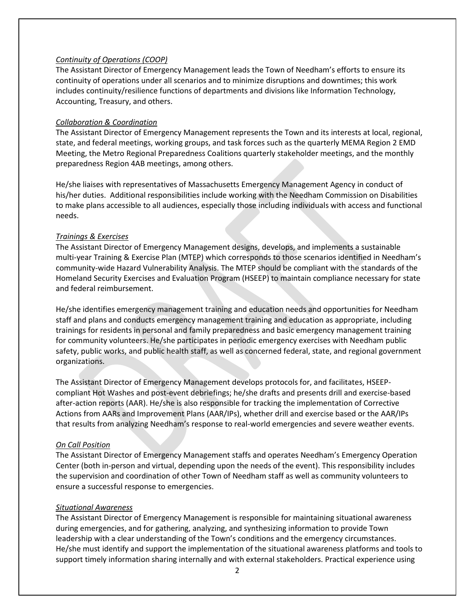## *Continuity of Operations (COOP)*

The Assistant Director of Emergency Management leads the Town of Needham's efforts to ensure its continuity of operations under all scenarios and to minimize disruptions and downtimes; this work includes continuity/resilience functions of departments and divisions like Information Technology, Accounting, Treasury, and others.

## *Collaboration & Coordination*

The Assistant Director of Emergency Management represents the Town and its interests at local, regional, state, and federal meetings, working groups, and task forces such as the quarterly MEMA Region 2 EMD Meeting, the Metro Regional Preparedness Coalitions quarterly stakeholder meetings, and the monthly preparedness Region 4AB meetings, among others.

He/she liaises with representatives of Massachusetts Emergency Management Agency in conduct of his/her duties. Additional responsibilities include working with the Needham Commission on Disabilities to make plans accessible to all audiences, especially those including individuals with access and functional needs.

### *Trainings & Exercises*

The Assistant Director of Emergency Management designs, develops, and implements a sustainable multi-year Training & Exercise Plan (MTEP) which corresponds to those scenarios identified in Needham's community-wide Hazard Vulnerability Analysis. The MTEP should be compliant with the standards of the Homeland Security Exercises and Evaluation Program (HSEEP) to maintain compliance necessary for state and federal reimbursement.

He/she identifies emergency management training and education needs and opportunities for Needham staff and plans and conducts emergency management training and education as appropriate, including trainings for residents in personal and family preparedness and basic emergency management training for community volunteers. He/she participates in periodic emergency exercises with Needham public safety, public works, and public health staff, as well as concerned federal, state, and regional government organizations.

The Assistant Director of Emergency Management develops protocols for, and facilitates, HSEEPcompliant Hot Washes and post-event debriefings; he/she drafts and presents drill and exercise-based after-action reports (AAR). He/she is also responsible for tracking the implementation of Corrective Actions from AARs and Improvement Plans (AAR/IPs), whether drill and exercise based or the AAR/IPs that results from analyzing Needham's response to real-world emergencies and severe weather events.

#### *On Call Position*

The Assistant Director of Emergency Management staffs and operates Needham's Emergency Operation Center (both in-person and virtual, depending upon the needs of the event). This responsibility includes the supervision and coordination of other Town of Needham staff as well as community volunteers to ensure a successful response to emergencies.

## *Situational Awareness*

The Assistant Director of Emergency Management is responsible for maintaining situational awareness during emergencies, and for gathering, analyzing, and synthesizing information to provide Town leadership with a clear understanding of the Town's conditions and the emergency circumstances. He/she must identify and support the implementation of the situational awareness platforms and tools to support timely information sharing internally and with external stakeholders. Practical experience using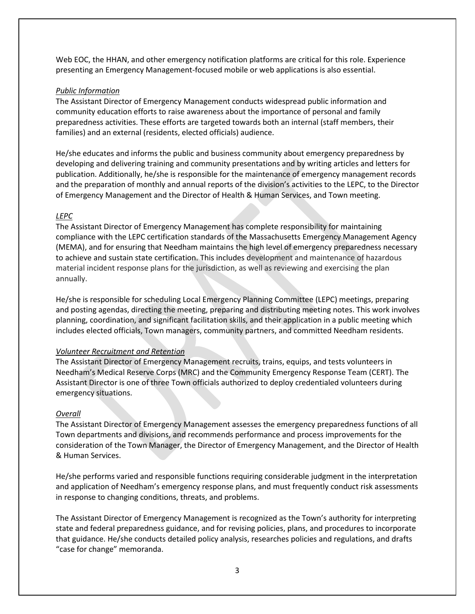Web EOC, the HHAN, and other emergency notification platforms are critical for this role. Experience presenting an Emergency Management-focused mobile or web applications is also essential.

## *Public Information*

The Assistant Director of Emergency Management conducts widespread public information and community education efforts to raise awareness about the importance of personal and family preparedness activities. These efforts are targeted towards both an internal (staff members, their families) and an external (residents, elected officials) audience.

He/she educates and informs the public and business community about emergency preparedness by developing and delivering training and community presentations and by writing articles and letters for publication. Additionally, he/she is responsible for the maintenance of emergency management records and the preparation of monthly and annual reports of the division's activities to the LEPC, to the Director of Emergency Management and the Director of Health & Human Services, and Town meeting.

# *LEPC*

The Assistant Director of Emergency Management has complete responsibility for maintaining compliance with the LEPC certification standards of the Massachusetts Emergency Management Agency (MEMA), and for ensuring that Needham maintains the high level of emergency preparedness necessary to achieve and sustain state certification. This includes development and maintenance of hazardous material incident response plans for the jurisdiction, as well as reviewing and exercising the plan annually.

He/she is responsible for scheduling Local Emergency Planning Committee (LEPC) meetings, preparing and posting agendas, directing the meeting, preparing and distributing meeting notes. This work involves planning, coordination, and significant facilitation skills, and their application in a public meeting which includes elected officials, Town managers, community partners, and committed Needham residents.

## *Volunteer Recruitment and Retention*

The Assistant Director of Emergency Management recruits, trains, equips, and tests volunteers in Needham's Medical Reserve Corps (MRC) and the Community Emergency Response Team (CERT). The Assistant Director is one of three Town officials authorized to deploy credentialed volunteers during emergency situations.

# *Overall*

The Assistant Director of Emergency Management assesses the emergency preparedness functions of all Town departments and divisions, and recommends performance and process improvements for the consideration of the Town Manager, the Director of Emergency Management, and the Director of Health & Human Services.

He/she performs varied and responsible functions requiring considerable judgment in the interpretation and application of Needham's emergency response plans, and must frequently conduct risk assessments in response to changing conditions, threats, and problems.

The Assistant Director of Emergency Management is recognized as the Town's authority for interpreting state and federal preparedness guidance, and for revising policies, plans, and procedures to incorporate that guidance. He/she conducts detailed policy analysis, researches policies and regulations, and drafts "case for change" memoranda.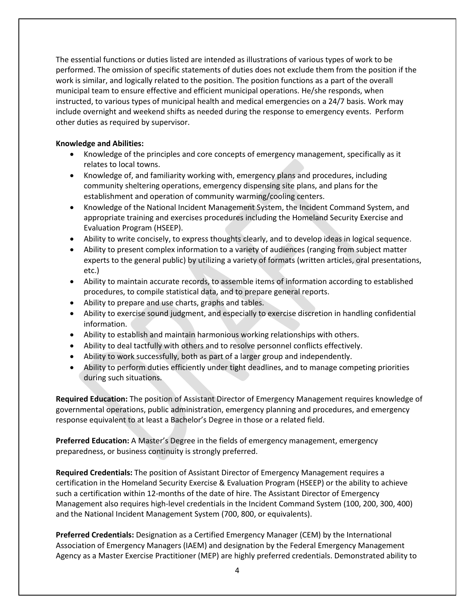The essential functions or duties listed are intended as illustrations of various types of work to be performed. The omission of specific statements of duties does not exclude them from the position if the work is similar, and logically related to the position. The position functions as a part of the overall municipal team to ensure effective and efficient municipal operations. He/she responds, when instructed, to various types of municipal health and medical emergencies on a 24/7 basis. Work may include overnight and weekend shifts as needed during the response to emergency events. Perform other duties as required by supervisor.

## **Knowledge and Abilities:**

- Knowledge of the principles and core concepts of emergency management, specifically as it relates to local towns.
- Knowledge of, and familiarity working with, emergency plans and procedures, including community sheltering operations, emergency dispensing site plans, and plans for the establishment and operation of community warming/cooling centers.
- Knowledge of the National Incident Management System, the Incident Command System, and appropriate training and exercises procedures including the Homeland Security Exercise and Evaluation Program (HSEEP).
- Ability to write concisely, to express thoughts clearly, and to develop ideas in logical sequence.
- Ability to present complex information to a variety of audiences (ranging from subject matter experts to the general public) by utilizing a variety of formats (written articles, oral presentations, etc.)
- Ability to maintain accurate records, to assemble items of information according to established procedures, to compile statistical data, and to prepare general reports.
- Ability to prepare and use charts, graphs and tables.
- Ability to exercise sound judgment, and especially to exercise discretion in handling confidential information.
- Ability to establish and maintain harmonious working relationships with others.
- Ability to deal tactfully with others and to resolve personnel conflicts effectively.
- Ability to work successfully, both as part of a larger group and independently.
- Ability to perform duties efficiently under tight deadlines, and to manage competing priorities during such situations.

**Required Education:** The position of Assistant Director of Emergency Management requires knowledge of governmental operations, public administration, emergency planning and procedures, and emergency response equivalent to at least a Bachelor's Degree in those or a related field.

**Preferred Education:** A Master's Degree in the fields of emergency management, emergency preparedness, or business continuity is strongly preferred.

**Required Credentials:** The position of Assistant Director of Emergency Management requires a certification in the Homeland Security Exercise & Evaluation Program (HSEEP) or the ability to achieve such a certification within 12-months of the date of hire. The Assistant Director of Emergency Management also requires high-level credentials in the Incident Command System (100, 200, 300, 400) and the National Incident Management System (700, 800, or equivalents).

**Preferred Credentials:** Designation as a Certified Emergency Manager (CEM) by the International Association of Emergency Managers (IAEM) and designation by the Federal Emergency Management Agency as a Master Exercise Practitioner (MEP) are highly preferred credentials. Demonstrated ability to